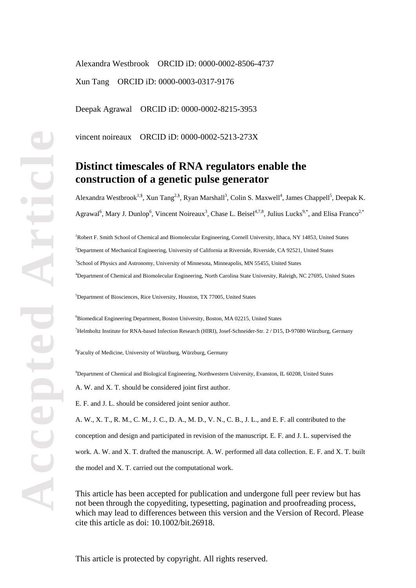Alexandra Westbrook ORCID iD: 0000-0002-8506-4737 Xun Tang ORCID iD: 0000-0003-0317-9176

Deepak Agrawal ORCID iD: 0000-0002-8215-3953

vincent noireaux ORCID iD: 0000-0002-5213-273X

# **Distinct timescales of RNA regulators enable the construction of a genetic pulse generator**

Alexandra Westbrook<sup>1,§</sup>, Xun Tang<sup>2,§</sup>, Ryan Marshall<sup>3</sup>, Colin S. Maxwell<sup>4</sup>, James Chappell<sup>5</sup>, Deepak K. Agrawal<sup>6</sup>, Mary J. Dunlop<sup>6</sup>, Vincent Noireaux<sup>3</sup>, Chase L. Beisel<sup>4,7,8</sup>, Julius Lucks<sup>9,\*</sup>, and Elisa Franco<sup>2,\*</sup>

<sup>1</sup>Robert F. Smith School of Chemical and Biomolecular Engineering, Cornell University, Ithaca, NY 14853, United States 2 Department of Mechanical Engineering, University of California at Riverside, Riverside, CA 92521, United States <sup>3</sup>School of Physics and Astronomy, University of Minnesota, Minneapolis, MN 55455, United States 4 Department of Chemical and Biomolecular Engineering, North Carolina State University, Raleigh, NC 27695, United States

5 Department of Biosciences, Rice University, Houston, TX 77005, United States

6 Biomedical Engineering Department, Boston University, Boston, MA 02215, United States 7 Helmholtz Institute for RNA-based Infection Research (HIRI), Josef-Schneider-Str. 2 / D15, D-97080 Würzburg, Germany

8 Faculty of Medicine, University of Würzburg, Würzburg, Germany

9 Department of Chemical and Biological Engineering, Northwestern University, Evanston, IL 60208, United States

A. W. and X. T. should be considered joint first author.

E. F. and J. L. should be considered joint senior author.

A. W., X. T., R. M., C. M., J. C., D. A., M. D., V. N., C. B., J. L., and E. F. all contributed to the conception and design and participated in revision of the manuscript. E. F. and J. L. supervised the work. A. W. and X. T. drafted the manuscript. A. W. performed all data collection. E. F. and X. T. built the model and X. T. carried out the computational work.

This article has been accepted for publication and undergone full peer review but has not been through the copyediting, typesetting, pagination and proofreading process, which may lead to differences between this version and the Version of Record. Please cite this article as doi: 10.1002/bit.26918.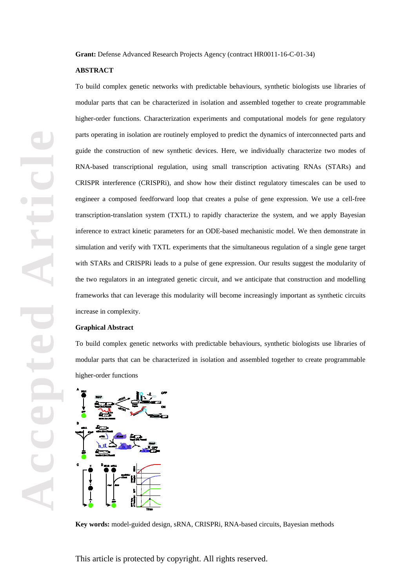**Grant:** Defense Advanced Research Projects Agency (contract HR0011-16-C-01-34)

### **ABSTRACT**

To build complex genetic networks with predictable behaviours, synthetic biologists use libraries of modular parts that can be characterized in isolation and assembled together to create programmable higher-order functions. Characterization experiments and computational models for gene regulatory parts operating in isolation are routinely employed to predict the dynamics of interconnected parts and guide the construction of new synthetic devices. Here, we individually characterize two modes of RNA-based transcriptional regulation, using small transcription activating RNAs (STARs) and CRISPR interference (CRISPRi), and show how their distinct regulatory timescales can be used to engineer a composed feedforward loop that creates a pulse of gene expression. We use a cell-free transcription-translation system (TXTL) to rapidly characterize the system, and we apply Bayesian inference to extract kinetic parameters for an ODE-based mechanistic model. We then demonstrate in simulation and verify with TXTL experiments that the simultaneous regulation of a single gene target with STARs and CRISPRi leads to a pulse of gene expression. Our results suggest the modularity of the two regulators in an integrated genetic circuit, and we anticipate that construction and modelling frameworks that can leverage this modularity will become increasingly important as synthetic circuits increase in complexity.

### **Graphical Abstract**

To build complex genetic networks with predictable behaviours, synthetic biologists use libraries of modular parts that can be characterized in isolation and assembled together to create programmable higher-order functions



**Key words:** model-guided design, sRNA, CRISPRi, RNA-based circuits, Bayesian methods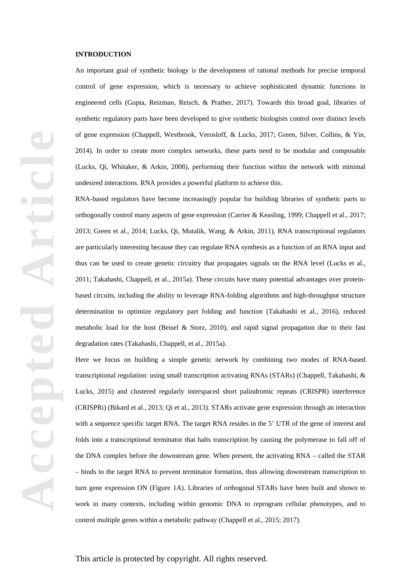## **INTRODUCTION**

An important goal of synthetic biology is the development of rational methods for precise temporal control of gene expression, which is necessary to achieve sophisticated dynamic functions in engineered cells (Gupta, Reizman, Reisch, & Prather, 2017). Towards this broad goal, libraries of synthetic regulatory parts have been developed to give synthetic biologists control over distinct levels of gene expression (Chappell, Westbrook, Verosloff, & Lucks, 2017; Green, Silver, Collins, & Yin, 2014). In order to create more complex networks, these parts need to be modular and composable (Lucks, Qi, Whitaker, & Arkin, 2008), performing their function within the network with minimal undesired interactions. RNA provides a powerful platform to achieve this.

RNA-based regulators have become increasingly popular for building libraries of synthetic parts to orthogonally control many aspects of gene expression (Carrier & Keasling, 1999; Chappell et al., 2017; 2013; Green et al., 2014; Lucks, Qi, Mutalik, Wang, & Arkin, 2011), RNA transcriptional regulators are particularly interesting because they can regulate RNA synthesis as a function of an RNA input and thus can be used to create genetic circuitry that propagates signals on the RNA level (Lucks et al., 2011; Takahashi, Chappell, et al., 2015a). These circuits have many potential advantages over proteinbased circuits, including the ability to leverage RNA-folding algorithms and high-throughput structure determination to optimize regulatory part folding and function (Takahashi et al., 2016), reduced metabolic load for the host (Beisel & Storz, 2010), and rapid signal propagation due to their fast degradation rates (Takahashi, Chappell, et al., 2015a).

Here we focus on building a simple genetic network by combining two modes of RNA-based transcriptional regulation: using small transcription activating RNAs (STARs) (Chappell, Takahashi, & Lucks, 2015) and clustered regularly interspaced short palindromic repeats (CRISPR) interference (CRISPRi) (Bikard et al., 2013; Qi et al., 2013). STARs activate gene expression through an interaction with a sequence specific target RNA. The target RNA resides in the 5' UTR of the gene of interest and folds into a transcriptional terminator that halts transcription by causing the polymerase to fall off of the DNA complex before the downstream gene. When present, the activating RNA – called the STAR – binds to the target RNA to prevent terminator formation, thus allowing downstream transcription to turn gene expression ON (Figure 1A). Libraries of orthogonal STARs have been built and shown to work in many contexts, including within genomic DNA to reprogram cellular phenotypes, and to control multiple genes within a metabolic pathway (Chappell et al., 2015; 2017).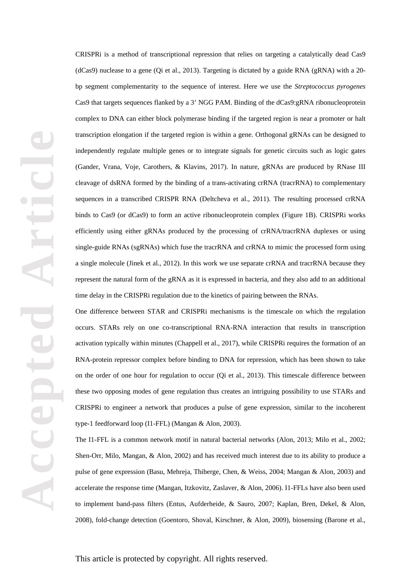CRISPRi is a method of transcriptional repression that relies on targeting a catalytically dead Cas9 (dCas9) nuclease to a gene (Qi et al., 2013). Targeting is dictated by a guide RNA (gRNA) with a 20 bp segment complementarity to the sequence of interest. Here we use the *Streptococcus pyrogenes* Cas9 that targets sequences flanked by a 3' NGG PAM. Binding of the dCas9:gRNA ribonucleoprotein complex to DNA can either block polymerase binding if the targeted region is near a promoter or halt transcription elongation if the targeted region is within a gene. Orthogonal gRNAs can be designed to independently regulate multiple genes or to integrate signals for genetic circuits such as logic gates (Gander, Vrana, Voje, Carothers, & Klavins, 2017). In nature, gRNAs are produced by RNase III cleavage of dsRNA formed by the binding of a trans-activating crRNA (tracrRNA) to complementary sequences in a transcribed CRISPR RNA (Deltcheva et al., 2011). The resulting processed crRNA binds to Cas9 (or dCas9) to form an active ribonucleoprotein complex (Figure 1B). CRISPRi works efficiently using either gRNAs produced by the processing of crRNA/tracrRNA duplexes or using single-guide RNAs (sgRNAs) which fuse the tracrRNA and crRNA to mimic the processed form using a single molecule (Jinek et al., 2012). In this work we use separate crRNA and tracrRNA because they represent the natural form of the gRNA as it is expressed in bacteria, and they also add to an additional time delay in the CRISPRi regulation due to the kinetics of pairing between the RNAs.

One difference between STAR and CRISPRi mechanisms is the timescale on which the regulation occurs. STARs rely on one co-transcriptional RNA-RNA interaction that results in transcription activation typically within minutes (Chappell et al., 2017), while CRISPRi requires the formation of an RNA-protein repressor complex before binding to DNA for repression, which has been shown to take on the order of one hour for regulation to occur (Qi et al., 2013). This timescale difference between these two opposing modes of gene regulation thus creates an intriguing possibility to use STARs and CRISPRi to engineer a network that produces a pulse of gene expression, similar to the incoherent type-1 feedforward loop (I1-FFL) (Mangan & Alon, 2003).

The I1-FFL is a common network motif in natural bacterial networks (Alon, 2013; Milo et al., 2002; Shen-Orr, Milo, Mangan, & Alon, 2002) and has received much interest due to its ability to produce a pulse of gene expression (Basu, Mehreja, Thiberge, Chen, & Weiss, 2004; Mangan & Alon, 2003) and accelerate the response time (Mangan, Itzkovitz, Zaslaver, & Alon, 2006). I1-FFLs have also been used to implement band-pass filters (Entus, Aufderheide, & Sauro, 2007; Kaplan, Bren, Dekel, & Alon, 2008), fold-change detection (Goentoro, Shoval, Kirschner, & Alon, 2009), biosensing (Barone et al.,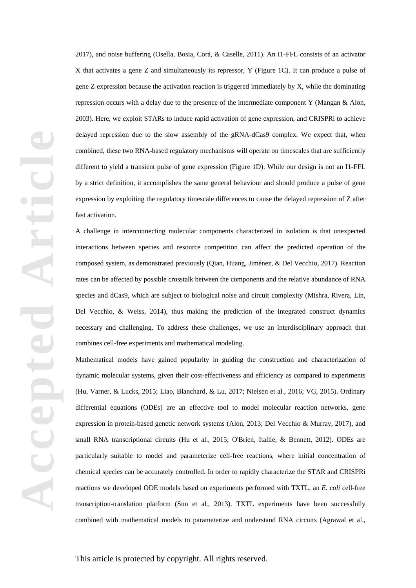2017), and noise buffering (Osella, Bosia, Corá, & Caselle, 2011). An I1-FFL consists of an activator X that activates a gene Z and simultaneously its repressor, Y (Figure 1C). It can produce a pulse of gene Z expression because the activation reaction is triggered immediately by X, while the dominating repression occurs with a delay due to the presence of the intermediate component Y (Mangan & Alon, 2003). Here, we exploit STARs to induce rapid activation of gene expression, and CRISPRi to achieve delayed repression due to the slow assembly of the gRNA-dCas9 complex. We expect that, when combined, these two RNA-based regulatory mechanisms will operate on timescales that are sufficiently different to yield a transient pulse of gene expression (Figure 1D). While our design is not an I1-FFL by a strict definition, it accomplishes the same general behaviour and should produce a pulse of gene expression by exploiting the regulatory timescale differences to cause the delayed repression of Z after fast activation.

A challenge in interconnecting molecular components characterized in isolation is that unexpected interactions between species and resource competition can affect the predicted operation of the composed system, as demonstrated previously (Qian, Huang, Jiménez, & Del Vecchio, 2017). Reaction rates can be affected by possible crosstalk between the components and the relative abundance of RNA species and dCas9, which are subject to biological noise and circuit complexity (Mishra, Rivera, Lin, Del Vecchio, & Weiss, 2014), thus making the prediction of the integrated construct dynamics necessary and challenging. To address these challenges, we use an interdisciplinary approach that combines cell-free experiments and mathematical modeling.

Mathematical models have gained popularity in guiding the construction and characterization of dynamic molecular systems, given their cost-effectiveness and efficiency as compared to experiments (Hu, Varner, & Lucks, 2015; Liao, Blanchard, & Lu, 2017; Nielsen et al., 2016; VG, 2015). Ordinary differential equations (ODEs) are an effective tool to model molecular reaction networks, gene expression in protein-based genetic network systems (Alon, 2013; Del Vecchio & Murray, 2017), and small RNA transcriptional circuits (Hu et al., 2015; O'Brien, Itallie, & Bennett, 2012). ODEs are particularly suitable to model and parameterize cell-free reactions, where initial concentration of chemical species can be accurately controlled. In order to rapidly characterize the STAR and CRISPRi reactions we developed ODE models based on experiments performed with TXTL, an *E. coli* cell-free transcription-translation platform (Sun et al., 2013). TXTL experiments have been successfully combined with mathematical models to parameterize and understand RNA circuits (Agrawal et al.,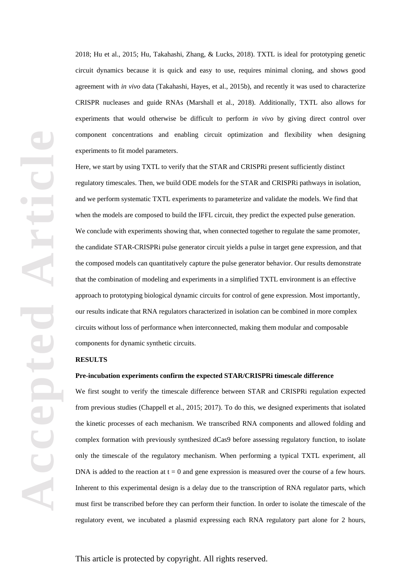2018; Hu et al., 2015; Hu, Takahashi, Zhang, & Lucks, 2018). TXTL is ideal for prototyping genetic circuit dynamics because it is quick and easy to use, requires minimal cloning, and shows good agreement with *in vivo* data (Takahashi, Hayes, et al., 2015b), and recently it was used to characterize CRISPR nucleases and guide RNAs (Marshall et al., 2018). Additionally, TXTL also allows for experiments that would otherwise be difficult to perform *in vivo* by giving direct control over component concentrations and enabling circuit optimization and flexibility when designing experiments to fit model parameters.

Here, we start by using TXTL to verify that the STAR and CRISPRi present sufficiently distinct regulatory timescales. Then, we build ODE models for the STAR and CRISPRi pathways in isolation, and we perform systematic TXTL experiments to parameterize and validate the models. We find that when the models are composed to build the IFFL circuit, they predict the expected pulse generation. We conclude with experiments showing that, when connected together to regulate the same promoter, the candidate STAR-CRISPRi pulse generator circuit yields a pulse in target gene expression, and that the composed models can quantitatively capture the pulse generator behavior. Our results demonstrate that the combination of modeling and experiments in a simplified TXTL environment is an effective approach to prototyping biological dynamic circuits for control of gene expression. Most importantly, our results indicate that RNA regulators characterized in isolation can be combined in more complex circuits without loss of performance when interconnected, making them modular and composable components for dynamic synthetic circuits.

# **RESULTS**

#### **Pre-incubation experiments confirm the expected STAR/CRISPRi timescale difference**

We first sought to verify the timescale difference between STAR and CRISPRi regulation expected from previous studies (Chappell et al., 2015; 2017). To do this, we designed experiments that isolated the kinetic processes of each mechanism. We transcribed RNA components and allowed folding and complex formation with previously synthesized dCas9 before assessing regulatory function, to isolate only the timescale of the regulatory mechanism. When performing a typical TXTL experiment, all DNA is added to the reaction at  $t = 0$  and gene expression is measured over the course of a few hours. Inherent to this experimental design is a delay due to the transcription of RNA regulator parts, which must first be transcribed before they can perform their function. In order to isolate the timescale of the regulatory event, we incubated a plasmid expressing each RNA regulatory part alone for 2 hours,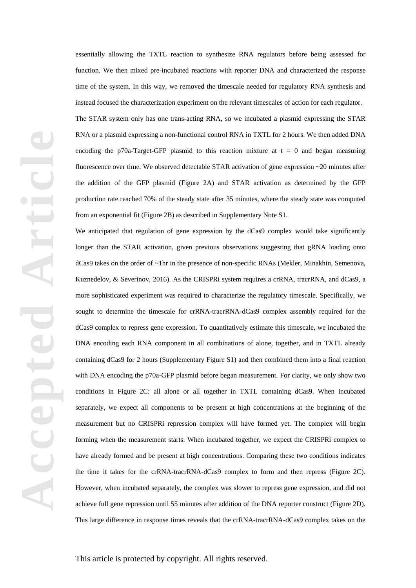essentially allowing the TXTL reaction to synthesize RNA regulators before being assessed for function. We then mixed pre-incubated reactions with reporter DNA and characterized the response time of the system. In this way, we removed the timescale needed for regulatory RNA synthesis and instead focused the characterization experiment on the relevant timescales of action for each regulator.

The STAR system only has one trans-acting RNA, so we incubated a plasmid expressing the STAR RNA or a plasmid expressing a non-functional control RNA in TXTL for 2 hours. We then added DNA encoding the p70a-Target-GFP plasmid to this reaction mixture at  $t = 0$  and began measuring fluorescence over time. We observed detectable STAR activation of gene expression ~20 minutes after the addition of the GFP plasmid (Figure 2A) and STAR activation as determined by the GFP production rate reached 70% of the steady state after 35 minutes, where the steady state was computed from an exponential fit (Figure 2B) as described in Supplementary Note S1.

We anticipated that regulation of gene expression by the dCas9 complex would take significantly longer than the STAR activation, given previous observations suggesting that gRNA loading onto dCas9 takes on the order of ~1hr in the presence of non-specific RNAs (Mekler, Minakhin, Semenova, Kuznedelov, & Severinov, 2016). As the CRISPRi system requires a crRNA, tracrRNA, and dCas9, a more sophisticated experiment was required to characterize the regulatory timescale. Specifically, we sought to determine the timescale for crRNA-tracrRNA-dCas9 complex assembly required for the dCas9 complex to repress gene expression. To quantitatively estimate this timescale, we incubated the DNA encoding each RNA component in all combinations of alone, together, and in TXTL already containing dCas9 for 2 hours (Supplementary Figure S1) and then combined them into a final reaction with DNA encoding the p70a-GFP plasmid before began measurement. For clarity, we only show two conditions in Figure 2C: all alone or all together in TXTL containing dCas9. When incubated separately, we expect all components to be present at high concentrations at the beginning of the measurement but no CRISPRi repression complex will have formed yet. The complex will begin forming when the measurement starts. When incubated together, we expect the CRISPRi complex to have already formed and be present at high concentrations. Comparing these two conditions indicates the time it takes for the crRNA-tracrRNA-dCas9 complex to form and then repress (Figure 2C). However, when incubated separately, the complex was slower to repress gene expression, and did not achieve full gene repression until 55 minutes after addition of the DNA reporter construct (Figure 2D). This large difference in response times reveals that the crRNA-tracrRNA-dCas9 complex takes on the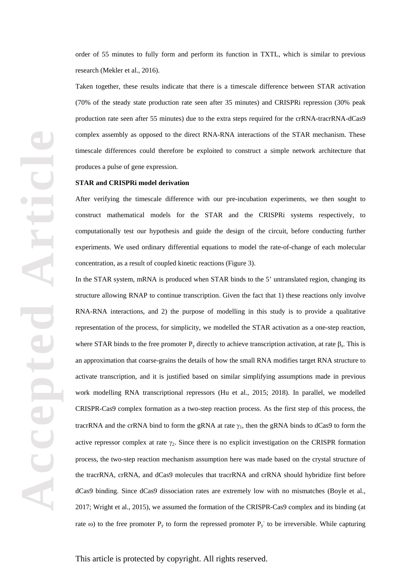order of 55 minutes to fully form and perform its function in TXTL, which is similar to previous research (Mekler et al., 2016).

Taken together, these results indicate that there is a timescale difference between STAR activation (70% of the steady state production rate seen after 35 minutes) and CRISPRi repression (30% peak production rate seen after 55 minutes) due to the extra steps required for the crRNA-tracrRNA-dCas9 complex assembly as opposed to the direct RNA-RNA interactions of the STAR mechanism. These timescale differences could therefore be exploited to construct a simple network architecture that produces a pulse of gene expression.

#### **STAR and CRISPRi model derivation**

After verifying the timescale difference with our pre-incubation experiments, we then sought to construct mathematical models for the STAR and the CRISPRi systems respectively, to computationally test our hypothesis and guide the design of the circuit, before conducting further experiments. We used ordinary differential equations to model the rate-of-change of each molecular concentration, as a result of coupled kinetic reactions (Figure 3).

In the STAR system, mRNA is produced when STAR binds to the 5' untranslated region, changing its structure allowing RNAP to continue transcription. Given the fact that 1) these reactions only involve RNA-RNA interactions, and 2) the purpose of modelling in this study is to provide a qualitative representation of the process, for simplicity, we modelled the STAR activation as a one-step reaction, where STAR binds to the free promoter  $P_y$  directly to achieve transcription activation, at rate  $\beta_s$ . This is an approximation that coarse-grains the details of how the small RNA modifies target RNA structure to activate transcription, and it is justified based on similar simplifying assumptions made in previous work modelling RNA transcriptional repressors (Hu et al., 2015; 2018). In parallel, we modelled CRISPR-Cas9 complex formation as a two-step reaction process. As the first step of this process, the tracrRNA and the crRNA bind to form the gRNA at rate  $\gamma_1$ , then the gRNA binds to dCas9 to form the active repressor complex at rate  $\gamma_2$ . Since there is no explicit investigation on the CRISPR formation process, the two-step reaction mechanism assumption here was made based on the crystal structure of the tracrRNA, crRNA, and dCas9 molecules that tracrRNA and crRNA should hybridize first before dCas9 binding. Since dCas9 dissociation rates are extremely low with no mismatches (Boyle et al., 2017; Wright et al., 2015), we assumed the formation of the CRISPR-Cas9 complex and its binding (at rate  $\omega$ ) to the free promoter P<sub>y</sub> to form the repressed promoter P<sub>y</sub> to be irreversible. While capturing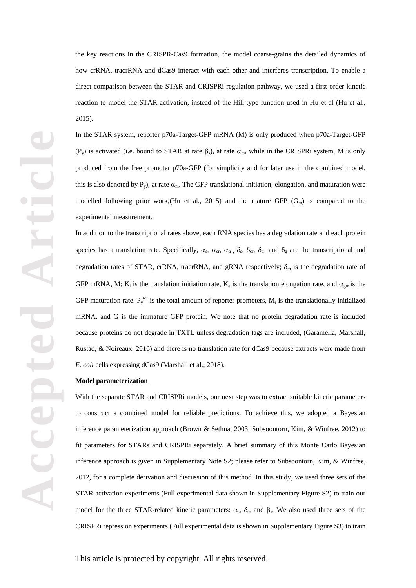**Accepted Article** Accepte

the key reactions in the CRISPR-Cas9 formation, the model coarse-grains the detailed dynamics of how crRNA, tracrRNA and dCas9 interact with each other and interferes transcription. To enable a direct comparison between the STAR and CRISPRi regulation pathway, we used a first-order kinetic reaction to model the STAR activation, instead of the Hill-type function used in Hu et al (Hu et al., 2015).

In the STAR system, reporter p70a-Target-GFP mRNA (M) is only produced when p70a-Target-GFP (P<sub>y</sub>) is activated (i.e. bound to STAR at rate  $\beta_s$ ), at rate  $\alpha_m$ , while in the CRISPRi system, M is only produced from the free promoter p70a-GFP (for simplicity and for later use in the combined model, this is also denoted by  $P_y$ ), at rate  $\alpha_m$ . The GFP translational initiation, elongation, and maturation were modelled following prior work, (Hu et al., 2015) and the mature GFP  $(G_m)$  is compared to the experimental measurement.

In addition to the transcriptional rates above, each RNA species has a degradation rate and each protein species has a translation rate. Specifically,  $\alpha_s$ ,  $\alpha_{cr}$ ,  $\alpha_{tr}$ ,  $\delta_s$ ,  $\delta_{cr}$ ,  $\delta_{tr}$ , and  $\delta_g$  are the transcriptional and degradation rates of STAR, crRNA, tracrRNA, and gRNA respectively;  $\delta_m$  is the degradation rate of GFP mRNA, M; K<sub>i</sub> is the translation initiation rate, K<sub>e</sub> is the translation elongation rate, and  $\alpha_{gm}$  is the GFP maturation rate.  $P_y^{tot}$  is the total amount of reporter promoters,  $M_i$  is the translationally initialized mRNA, and G is the immature GFP protein. We note that no protein degradation rate is included because proteins do not degrade in TXTL unless degradation tags are included, (Garamella, Marshall, Rustad, & Noireaux, 2016) and there is no translation rate for dCas9 because extracts were made from *E. coli* cells expressing dCas9 (Marshall et al., 2018).

## **Model parameterization**

With the separate STAR and CRISPRi models, our next step was to extract suitable kinetic parameters to construct a combined model for reliable predictions. To achieve this, we adopted a Bayesian inference parameterization approach (Brown & Sethna, 2003; Subsoontorn, Kim, & Winfree, 2012) to fit parameters for STARs and CRISPRi separately. A brief summary of this Monte Carlo Bayesian inference approach is given in Supplementary Note S2; please refer to Subsoontorn, Kim, & Winfree, 2012, for a complete derivation and discussion of this method. In this study, we used three sets of the STAR activation experiments (Full experimental data shown in Supplementary Figure S2) to train our model for the three STAR-related kinetic parameters:  $\alpha_s$ ,  $\delta_s$ , and  $\beta_s$ . We also used three sets of the CRISPRi repression experiments (Full experimental data is shown in Supplementary Figure S3) to train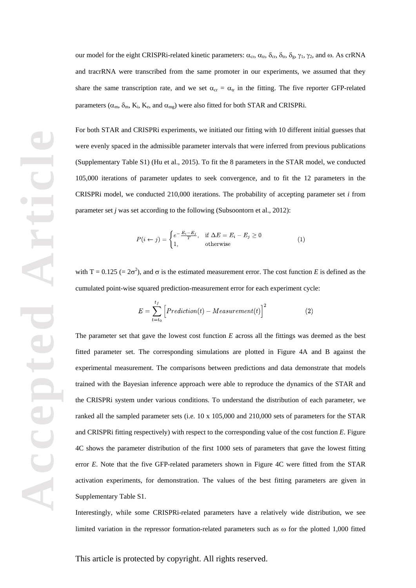our model for the eight CRISPRi-related kinetic parameters:  $\alpha_{cr}$ ,  $\alpha_{tr}$ ,  $\delta_{cr}$ ,  $\delta_{tr}$ ,  $\delta_g$ ,  $\gamma_1$ ,  $\gamma_2$ , and  $\omega$ . As crRNA and tracrRNA were transcribed from the same promoter in our experiments, we assumed that they share the same transcription rate, and we set  $\alpha_{cr} = \alpha_{tr}$  in the fitting. The five reporter GFP-related parameters ( $\alpha_m$ ,  $\delta_m$ ,  $K_i$ ,  $K_e$ , and  $\alpha_{mg}$ ) were also fitted for both STAR and CRISPRi.

For both STAR and CRISPRi experiments, we initiated our fitting with 10 different initial guesses that were evenly spaced in the admissible parameter intervals that were inferred from previous publications (Supplementary Table S1) (Hu et al., 2015). To fit the 8 parameters in the STAR model, we conducted 105,000 iterations of parameter updates to seek convergence, and to fit the 12 parameters in the CRISPRi model, we conducted 210,000 iterations. The probability of accepting parameter set *i* from parameter set *j* was set according to the following (Subsoontorn et al., 2012):

$$
P(i \leftarrow j) = \begin{cases} e^{-\frac{E_i - E_j}{T}}, & \text{if } \Delta E = E_i - E_j \ge 0\\ 1, & \text{otherwise} \end{cases}
$$
(1)

with T = 0.125 (=  $2\sigma^2$ ), and  $\sigma$  is the estimated measurement error. The cost function *E* is defined as the cumulated point-wise squared prediction-measurement error for each experiment cycle:

$$
E = \sum_{t=t_0}^{t_f} \left[ Prediction(t) - Measurement(t) \right]^2 \tag{2}
$$

The parameter set that gave the lowest cost function *E* across all the fittings was deemed as the best fitted parameter set. The corresponding simulations are plotted in Figure 4A and B against the experimental measurement. The comparisons between predictions and data demonstrate that models trained with the Bayesian inference approach were able to reproduce the dynamics of the STAR and the CRISPRi system under various conditions. To understand the distribution of each parameter, we ranked all the sampled parameter sets (i.e. 10 x 105,000 and 210,000 sets of parameters for the STAR and CRISPRi fitting respectively) with respect to the corresponding value of the cost function *E*. Figure 4C shows the parameter distribution of the first 1000 sets of parameters that gave the lowest fitting error *E*. Note that the five GFP-related parameters shown in Figure 4C were fitted from the STAR activation experiments, for demonstration. The values of the best fitting parameters are given in Supplementary Table S1.

Interestingly, while some CRISPRi-related parameters have a relatively wide distribution, we see limited variation in the repressor formation-related parameters such as ω for the plotted 1,000 fitted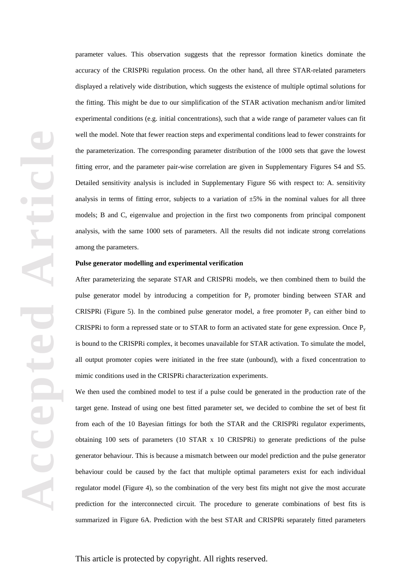**Accepted Article** Accepte

parameter values. This observation suggests that the repressor formation kinetics dominate the accuracy of the CRISPRi regulation process. On the other hand, all three STAR-related parameters displayed a relatively wide distribution, which suggests the existence of multiple optimal solutions for the fitting. This might be due to our simplification of the STAR activation mechanism and/or limited experimental conditions (e.g. initial concentrations), such that a wide range of parameter values can fit well the model. Note that fewer reaction steps and experimental conditions lead to fewer constraints for the parameterization. The corresponding parameter distribution of the 1000 sets that gave the lowest fitting error, and the parameter pair-wise correlation are given in Supplementary Figures S4 and S5. Detailed sensitivity analysis is included in Supplementary Figure S6 with respect to: A. sensitivity analysis in terms of fitting error, subjects to a variation of  $\pm 5\%$  in the nominal values for all three models; B and C, eigenvalue and projection in the first two components from principal component analysis, with the same 1000 sets of parameters. All the results did not indicate strong correlations among the parameters.

# **Pulse generator modelling and experimental verification**

After parameterizing the separate STAR and CRISPRi models, we then combined them to build the pulse generator model by introducing a competition for  $P_y$  promoter binding between STAR and CRISPRi (Figure 5). In the combined pulse generator model, a free promoter  $P_y$  can either bind to CRISPRi to form a repressed state or to STAR to form an activated state for gene expression. Once  $P_y$ is bound to the CRISPRi complex, it becomes unavailable for STAR activation. To simulate the model, all output promoter copies were initiated in the free state (unbound), with a fixed concentration to mimic conditions used in the CRISPRi characterization experiments.

We then used the combined model to test if a pulse could be generated in the production rate of the target gene. Instead of using one best fitted parameter set, we decided to combine the set of best fit from each of the 10 Bayesian fittings for both the STAR and the CRISPRi regulator experiments, obtaining 100 sets of parameters (10 STAR x 10 CRISPRi) to generate predictions of the pulse generator behaviour. This is because a mismatch between our model prediction and the pulse generator behaviour could be caused by the fact that multiple optimal parameters exist for each individual regulator model (Figure 4), so the combination of the very best fits might not give the most accurate prediction for the interconnected circuit. The procedure to generate combinations of best fits is summarized in Figure 6A. Prediction with the best STAR and CRISPRi separately fitted parameters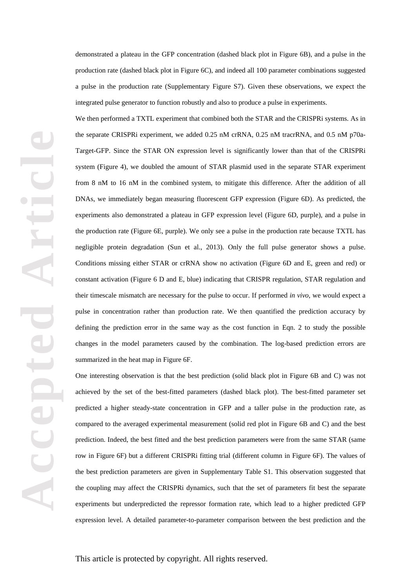demonstrated a plateau in the GFP concentration (dashed black plot in Figure 6B), and a pulse in the production rate (dashed black plot in Figure 6C), and indeed all 100 parameter combinations suggested a pulse in the production rate (Supplementary Figure S7). Given these observations, we expect the integrated pulse generator to function robustly and also to produce a pulse in experiments.

We then performed a TXTL experiment that combined both the STAR and the CRISPRi systems. As in the separate CRISPRi experiment, we added 0.25 nM crRNA, 0.25 nM tracrRNA, and 0.5 nM p70a-Target-GFP. Since the STAR ON expression level is significantly lower than that of the CRISPRi system (Figure 4), we doubled the amount of STAR plasmid used in the separate STAR experiment from 8 nM to 16 nM in the combined system, to mitigate this difference. After the addition of all DNAs, we immediately began measuring fluorescent GFP expression (Figure 6D). As predicted, the experiments also demonstrated a plateau in GFP expression level (Figure 6D, purple), and a pulse in the production rate (Figure 6E, purple). We only see a pulse in the production rate because TXTL has negligible protein degradation (Sun et al., 2013). Only the full pulse generator shows a pulse. Conditions missing either STAR or crRNA show no activation (Figure 6D and E, green and red) or constant activation (Figure 6 D and E, blue) indicating that CRISPR regulation, STAR regulation and their timescale mismatch are necessary for the pulse to occur. If performed *in vivo*, we would expect a pulse in concentration rather than production rate. We then quantified the prediction accuracy by defining the prediction error in the same way as the cost function in Eqn. 2 to study the possible changes in the model parameters caused by the combination. The log-based prediction errors are summarized in the heat map in Figure 6F.

One interesting observation is that the best prediction (solid black plot in Figure 6B and C) was not achieved by the set of the best-fitted parameters (dashed black plot). The best-fitted parameter set predicted a higher steady-state concentration in GFP and a taller pulse in the production rate, as compared to the averaged experimental measurement (solid red plot in Figure 6B and C) and the best prediction. Indeed, the best fitted and the best prediction parameters were from the same STAR (same row in Figure 6F) but a different CRISPRi fitting trial (different column in Figure 6F). The values of the best prediction parameters are given in Supplementary Table S1. This observation suggested that the coupling may affect the CRISPRi dynamics, such that the set of parameters fit best the separate experiments but underpredicted the repressor formation rate, which lead to a higher predicted GFP expression level. A detailed parameter-to-parameter comparison between the best prediction and the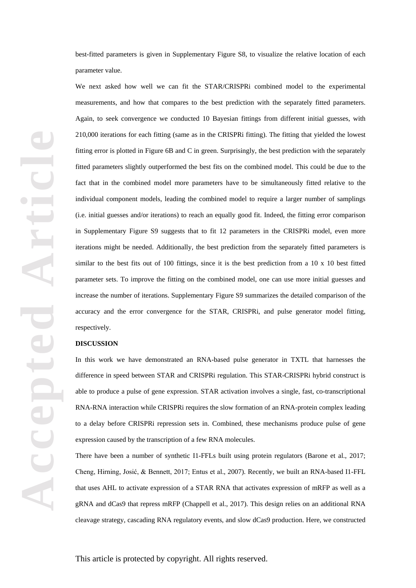best-fitted parameters is given in Supplementary Figure S8, to visualize the relative location of each parameter value.

We next asked how well we can fit the STAR/CRISPRi combined model to the experimental measurements, and how that compares to the best prediction with the separately fitted parameters. Again, to seek convergence we conducted 10 Bayesian fittings from different initial guesses, with 210,000 iterations for each fitting (same as in the CRISPRi fitting). The fitting that yielded the lowest fitting error is plotted in Figure 6B and C in green. Surprisingly, the best prediction with the separately fitted parameters slightly outperformed the best fits on the combined model. This could be due to the fact that in the combined model more parameters have to be simultaneously fitted relative to the individual component models, leading the combined model to require a larger number of samplings (i.e. initial guesses and/or iterations) to reach an equally good fit. Indeed, the fitting error comparison in Supplementary Figure S9 suggests that to fit 12 parameters in the CRISPRi model, even more iterations might be needed. Additionally, the best prediction from the separately fitted parameters is similar to the best fits out of 100 fittings, since it is the best prediction from a 10 x 10 best fitted parameter sets. To improve the fitting on the combined model, one can use more initial guesses and increase the number of iterations. Supplementary Figure S9 summarizes the detailed comparison of the accuracy and the error convergence for the STAR, CRISPRi, and pulse generator model fitting, respectively.

## **DISCUSSION**

In this work we have demonstrated an RNA-based pulse generator in TXTL that harnesses the difference in speed between STAR and CRISPRi regulation. This STAR-CRISPRi hybrid construct is able to produce a pulse of gene expression. STAR activation involves a single, fast, co-transcriptional RNA-RNA interaction while CRISPRi requires the slow formation of an RNA-protein complex leading to a delay before CRISPRi repression sets in. Combined, these mechanisms produce pulse of gene expression caused by the transcription of a few RNA molecules.

There have been a number of synthetic I1-FFLs built using protein regulators (Barone et al., 2017; Cheng, Hirning, Josić, & Bennett, 2017; Entus et al., 2007). Recently, we built an RNA-based I1-FFL that uses AHL to activate expression of a STAR RNA that activates expression of mRFP as well as a gRNA and dCas9 that repress mRFP (Chappell et al., 2017). This design relies on an additional RNA cleavage strategy, cascading RNA regulatory events, and slow dCas9 production. Here, we constructed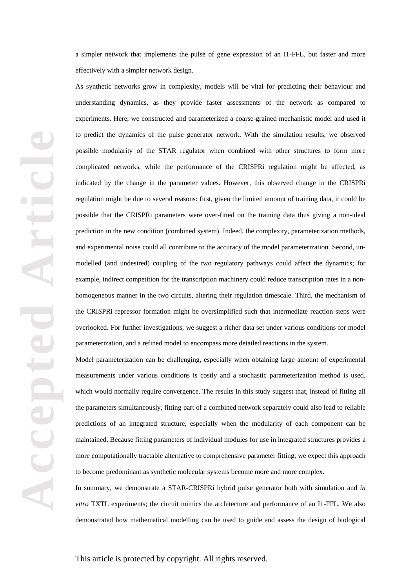a simpler network that implements the pulse of gene expression of an I1-FFL, but faster and more effectively with a simpler network design.

As synthetic networks grow in complexity, models will be vital for predicting their behaviour and understanding dynamics, as they provide faster assessments of the network as compared to experiments. Here, we constructed and parameterized a coarse-grained mechanistic model and used it to predict the dynamics of the pulse generator network. With the simulation results, we observed possible modularity of the STAR regulator when combined with other structures to form more complicated networks, while the performance of the CRISPRi regulation might be affected, as indicated by the change in the parameter values. However, this observed change in the CRISPRi regulation might be due to several reasons: first, given the limited amount of training data, it could be possible that the CRISPRi parameters were over-fitted on the training data thus giving a non-ideal prediction in the new condition (combined system). Indeed, the complexity, parameterization methods, and experimental noise could all contribute to the accuracy of the model parameterization. Second, unmodelled (and undesired) coupling of the two regulatory pathways could affect the dynamics; for example, indirect competition for the transcription machinery could reduce transcription rates in a nonhomogeneous manner in the two circuits, altering their regulation timescale. Third, the mechanism of the CRISPRi repressor formation might be oversimplified such that intermediate reaction steps were overlooked. For further investigations, we suggest a richer data set under various conditions for model parameterization, and a refined model to encompass more detailed reactions in the system.

Model parameterization can be challenging, especially when obtaining large amount of experimental measurements under various conditions is costly and a stochastic parameterization method is used, which would normally require convergence. The results in this study suggest that, instead of fitting all the parameters simultaneously, fitting part of a combined network separately could also lead to reliable predictions of an integrated structure, especially when the modularity of each component can be maintained. Because fitting parameters of individual modules for use in integrated structures provides a more computationally tractable alternative to comprehensive parameter fitting, we expect this approach to become predominant as synthetic molecular systems become more and more complex.

In summary, we demonstrate a STAR-CRISPRi hybrid pulse generator both with simulation and *in vitro* TXTL experiments; the circuit mimics the architecture and performance of an I1-FFL. We also demonstrated how mathematical modelling can be used to guide and assess the design of biological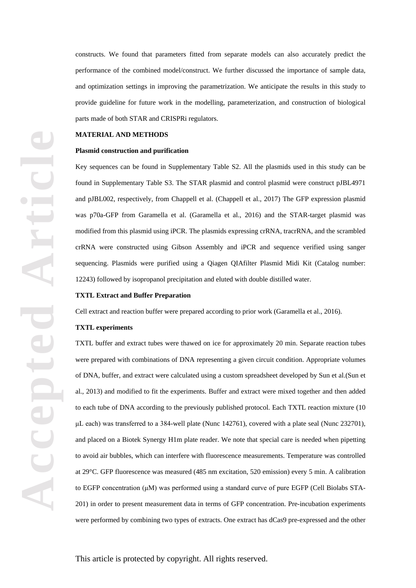constructs. We found that parameters fitted from separate models can also accurately predict the performance of the combined model/construct. We further discussed the importance of sample data, and optimization settings in improving the parametrization. We anticipate the results in this study to provide guideline for future work in the modelling, parameterization, and construction of biological parts made of both STAR and CRISPRi regulators.

#### **MATERIAL AND METHODS**

#### **Plasmid construction and purification**

Key sequences can be found in Supplementary Table S2. All the plasmids used in this study can be found in Supplementary Table S3. The STAR plasmid and control plasmid were construct pJBL4971 and pJBL002, respectively, from Chappell et al. (Chappell et al., 2017) The GFP expression plasmid was p70a-GFP from Garamella et al. (Garamella et al., 2016) and the STAR-target plasmid was modified from this plasmid using iPCR. The plasmids expressing crRNA, tracrRNA, and the scrambled crRNA were constructed using Gibson Assembly and iPCR and sequence verified using sanger sequencing. Plasmids were purified using a Qiagen QIAfilter Plasmid Midi Kit (Catalog number: 12243) followed by isopropanol precipitation and eluted with double distilled water.

#### **TXTL Extract and Buffer Preparation**

Cell extract and reaction buffer were prepared according to prior work (Garamella et al., 2016).

#### **TXTL experiments**

TXTL buffer and extract tubes were thawed on ice for approximately 20 min. Separate reaction tubes were prepared with combinations of DNA representing a given circuit condition. Appropriate volumes of DNA, buffer, and extract were calculated using a custom spreadsheet developed by Sun et al.(Sun et al., 2013) and modified to fit the experiments. Buffer and extract were mixed together and then added to each tube of DNA according to the previously published protocol. Each TXTL reaction mixture (10 μL each) was transferred to a 384-well plate (Nunc 142761), covered with a plate seal (Nunc 232701), and placed on a Biotek Synergy H1m plate reader. We note that special care is needed when pipetting to avoid air bubbles, which can interfere with fluorescence measurements. Temperature was controlled at 29°C. GFP fluorescence was measured (485 nm excitation, 520 emission) every 5 min. A calibration to EGFP concentration (μM) was performed using a standard curve of pure EGFP (Cell Biolabs STA-201) in order to present measurement data in terms of GFP concentration. Pre-incubation experiments were performed by combining two types of extracts. One extract has dCas9 pre-expressed and the other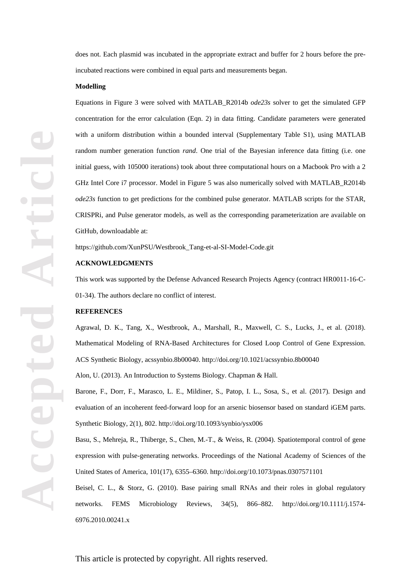does not. Each plasmid was incubated in the appropriate extract and buffer for 2 hours before the preincubated reactions were combined in equal parts and measurements began.

#### **Modelling**

Equations in Figure 3 were solved with MATLAB\_R2014b *ode23s* solver to get the simulated GFP concentration for the error calculation (Eqn. 2) in data fitting. Candidate parameters were generated with a uniform distribution within a bounded interval (Supplementary Table S1), using MATLAB random number generation function *rand*. One trial of the Bayesian inference data fitting (i.e. one initial guess, with 105000 iterations) took about three computational hours on a Macbook Pro with a 2 GHz Intel Core i7 processor. Model in Figure 5 was also numerically solved with MATLAB\_R2014b *ode23s* function to get predictions for the combined pulse generator. MATLAB scripts for the STAR, CRISPRi, and Pulse generator models, as well as the corresponding parameterization are available on GitHub, downloadable at:

https://github.com/XunPSU/Westbrook\_Tang-et-al-SI-Model-Code.git

# **ACKNOWLEDGMENTS**

This work was supported by the Defense Advanced Research Projects Agency (contract HR0011-16-C-01-34). The authors declare no conflict of interest.

## **REFERENCES**

Agrawal, D. K., Tang, X., Westbrook, A., Marshall, R., Maxwell, C. S., Lucks, J., et al. (2018). Mathematical Modeling of RNA-Based Architectures for Closed Loop Control of Gene Expression. ACS Synthetic Biology, acssynbio.8b00040. http://doi.org/10.1021/acssynbio.8b00040

Alon, U. (2013). An Introduction to Systems Biology. Chapman & Hall.

Barone, F., Dorr, F., Marasco, L. E., Mildiner, S., Patop, I. L., Sosa, S., et al. (2017). Design and evaluation of an incoherent feed-forward loop for an arsenic biosensor based on standard iGEM parts. Synthetic Biology, 2(1), 802. http://doi.org/10.1093/synbio/ysx006

Basu, S., Mehreja, R., Thiberge, S., Chen, M.-T., & Weiss, R. (2004). Spatiotemporal control of gene expression with pulse-generating networks. Proceedings of the National Academy of Sciences of the United States of America, 101(17), 6355–6360. http://doi.org/10.1073/pnas.0307571101

Beisel, C. L., & Storz, G. (2010). Base pairing small RNAs and their roles in global regulatory networks. FEMS Microbiology Reviews, 34(5), 866–882. http://doi.org/10.1111/j.1574- 6976.2010.00241.x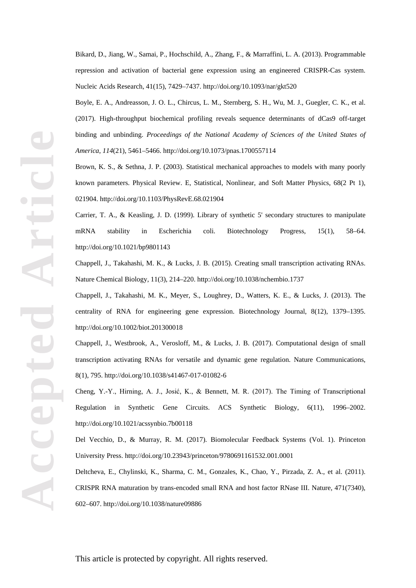Bikard, D., Jiang, W., Samai, P., Hochschild, A., Zhang, F., & Marraffini, L. A. (2013). Programmable repression and activation of bacterial gene expression using an engineered CRISPR-Cas system. Nucleic Acids Research, 41(15), 7429–7437. http://doi.org/10.1093/nar/gkt520

Boyle, E. A., Andreasson, J. O. L., Chircus, L. M., Sternberg, S. H., Wu, M. J., Guegler, C. K., et al. (2017). High-throughput biochemical profiling reveals sequence determinants of dCas9 off-target binding and unbinding. *Proceedings of the National Academy of Sciences of the United States of America*, *114*(21), 5461–5466. http://doi.org/10.1073/pnas.1700557114

Brown, K. S., & Sethna, J. P. (2003). Statistical mechanical approaches to models with many poorly known parameters. Physical Review. E, Statistical, Nonlinear, and Soft Matter Physics, 68(2 Pt 1), 021904. http://doi.org/10.1103/PhysRevE.68.021904

Carrier, T. A., & Keasling, J. D. (1999). Library of synthetic 5' secondary structures to manipulate mRNA stability in Escherichia coli. Biotechnology Progress, 15(1), 58–64. http://doi.org/10.1021/bp9801143

Chappell, J., Takahashi, M. K., & Lucks, J. B. (2015). Creating small transcription activating RNAs. Nature Chemical Biology, 11(3), 214–220. http://doi.org/10.1038/nchembio.1737

Chappell, J., Takahashi, M. K., Meyer, S., Loughrey, D., Watters, K. E., & Lucks, J. (2013). The centrality of RNA for engineering gene expression. Biotechnology Journal, 8(12), 1379–1395. http://doi.org/10.1002/biot.201300018

Chappell, J., Westbrook, A., Verosloff, M., & Lucks, J. B. (2017). Computational design of small transcription activating RNAs for versatile and dynamic gene regulation. Nature Communications, 8(1), 795. http://doi.org/10.1038/s41467-017-01082-6

Cheng, Y.-Y., Hirning, A. J., Josić, K., & Bennett, M. R. (2017). The Timing of Transcriptional Regulation in Synthetic Gene Circuits. ACS Synthetic Biology, 6(11), 1996–2002. http://doi.org/10.1021/acssynbio.7b00118

Del Vecchio, D., & Murray, R. M. (2017). Biomolecular Feedback Systems (Vol. 1). Princeton University Press. http://doi.org/10.23943/princeton/9780691161532.001.0001

Deltcheva, E., Chylinski, K., Sharma, C. M., Gonzales, K., Chao, Y., Pirzada, Z. A., et al. (2011). CRISPR RNA maturation by trans-encoded small RNA and host factor RNase III. Nature, 471(7340), 602–607. http://doi.org/10.1038/nature09886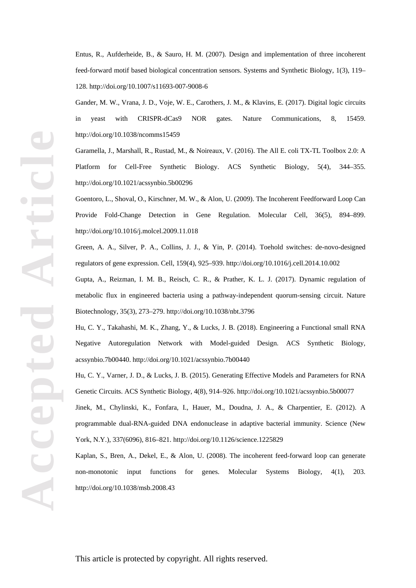Entus, R., Aufderheide, B., & Sauro, H. M. (2007). Design and implementation of three incoherent feed-forward motif based biological concentration sensors. Systems and Synthetic Biology, 1(3), 119– 128. http://doi.org/10.1007/s11693-007-9008-6

Gander, M. W., Vrana, J. D., Voje, W. E., Carothers, J. M., & Klavins, E. (2017). Digital logic circuits in yeast with CRISPR-dCas9 NOR gates. Nature Communications, 8, 15459. http://doi.org/10.1038/ncomms15459

Garamella, J., Marshall, R., Rustad, M., & Noireaux, V. (2016). The All E. coli TX-TL Toolbox 2.0: A Platform for Cell-Free Synthetic Biology. ACS Synthetic Biology, 5(4), 344–355. http://doi.org/10.1021/acssynbio.5b00296

Goentoro, L., Shoval, O., Kirschner, M. W., & Alon, U. (2009). The Incoherent Feedforward Loop Can Provide Fold-Change Detection in Gene Regulation. Molecular Cell, 36(5), 894–899. http://doi.org/10.1016/j.molcel.2009.11.018

Green, A. A., Silver, P. A., Collins, J. J., & Yin, P. (2014). Toehold switches: de-novo-designed regulators of gene expression. Cell, 159(4), 925–939. http://doi.org/10.1016/j.cell.2014.10.002

Gupta, A., Reizman, I. M. B., Reisch, C. R., & Prather, K. L. J. (2017). Dynamic regulation of metabolic flux in engineered bacteria using a pathway-independent quorum-sensing circuit. Nature Biotechnology, 35(3), 273–279. http://doi.org/10.1038/nbt.3796

Hu, C. Y., Takahashi, M. K., Zhang, Y., & Lucks, J. B. (2018). Engineering a Functional small RNA Negative Autoregulation Network with Model-guided Design. ACS Synthetic Biology, acssynbio.7b00440. http://doi.org/10.1021/acssynbio.7b00440

Hu, C. Y., Varner, J. D., & Lucks, J. B. (2015). Generating Effective Models and Parameters for RNA Genetic Circuits. ACS Synthetic Biology, 4(8), 914–926. http://doi.org/10.1021/acssynbio.5b00077

Jinek, M., Chylinski, K., Fonfara, I., Hauer, M., Doudna, J. A., & Charpentier, E. (2012). A programmable dual-RNA-guided DNA endonuclease in adaptive bacterial immunity. Science (New York, N.Y.), 337(6096), 816–821. http://doi.org/10.1126/science.1225829

Kaplan, S., Bren, A., Dekel, E., & Alon, U. (2008). The incoherent feed-forward loop can generate non-monotonic input functions for genes. Molecular Systems Biology, 4(1), 203. http://doi.org/10.1038/msb.2008.43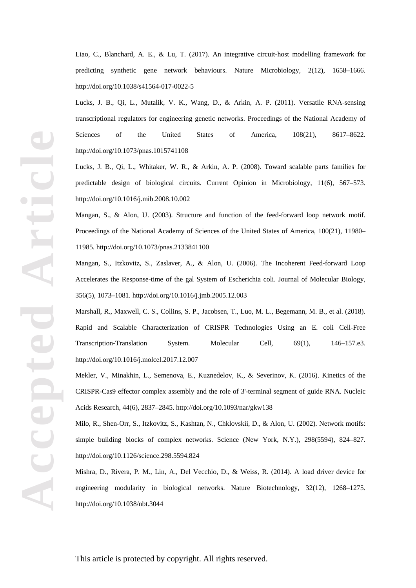Liao, C., Blanchard, A. E., & Lu, T. (2017). An integrative circuit-host modelling framework for predicting synthetic gene network behaviours. Nature Microbiology, 2(12), 1658–1666. http://doi.org/10.1038/s41564-017-0022-5

Lucks, J. B., Qi, L., Mutalik, V. K., Wang, D., & Arkin, A. P. (2011). Versatile RNA-sensing transcriptional regulators for engineering genetic networks. Proceedings of the National Academy of Sciences of the United States of America,  $108(21)$ ,  $8617-8622$ . http://doi.org/10.1073/pnas.1015741108

Lucks, J. B., Qi, L., Whitaker, W. R., & Arkin, A. P. (2008). Toward scalable parts families for predictable design of biological circuits. Current Opinion in Microbiology, 11(6), 567–573. http://doi.org/10.1016/j.mib.2008.10.002

Mangan, S., & Alon, U. (2003). Structure and function of the feed-forward loop network motif. Proceedings of the National Academy of Sciences of the United States of America, 100(21), 11980– 11985. http://doi.org/10.1073/pnas.2133841100

Mangan, S., Itzkovitz, S., Zaslaver, A., & Alon, U. (2006). The Incoherent Feed-forward Loop Accelerates the Response-time of the gal System of Escherichia coli. Journal of Molecular Biology, 356(5), 1073–1081. http://doi.org/10.1016/j.jmb.2005.12.003

Marshall, R., Maxwell, C. S., Collins, S. P., Jacobsen, T., Luo, M. L., Begemann, M. B., et al. (2018). Rapid and Scalable Characterization of CRISPR Technologies Using an E. coli Cell-Free Transcription-Translation System. Molecular Cell, 69(1), 146–157.e3. http://doi.org/10.1016/j.molcel.2017.12.007

Mekler, V., Minakhin, L., Semenova, E., Kuznedelov, K., & Severinov, K. (2016). Kinetics of the CRISPR-Cas9 effector complex assembly and the role of 3'-terminal segment of guide RNA. Nucleic Acids Research, 44(6), 2837–2845. http://doi.org/10.1093/nar/gkw138

Milo, R., Shen-Orr, S., Itzkovitz, S., Kashtan, N., Chklovskii, D., & Alon, U. (2002). Network motifs: simple building blocks of complex networks. Science (New York, N.Y.), 298(5594), 824–827. http://doi.org/10.1126/science.298.5594.824

Mishra, D., Rivera, P. M., Lin, A., Del Vecchio, D., & Weiss, R. (2014). A load driver device for engineering modularity in biological networks. Nature Biotechnology, 32(12), 1268–1275. http://doi.org/10.1038/nbt.3044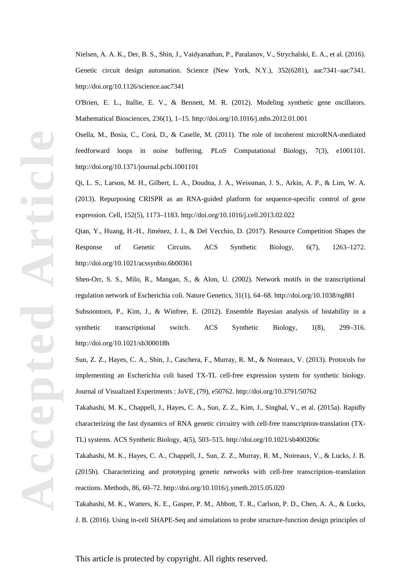Nielsen, A. A. K., Der, B. S., Shin, J., Vaidyanathan, P., Paralanov, V., Strychalski, E. A., et al. (2016). Genetic circuit design automation. Science (New York, N.Y.), 352(6281), aac7341–aac7341. http://doi.org/10.1126/science.aac7341

O'Brien, E. L., Itallie, E. V., & Bennett, M. R. (2012). Modeling synthetic gene oscillators. Mathematical Biosciences, 236(1), 1–15. http://doi.org/10.1016/j.mbs.2012.01.001

Osella, M., Bosia, C., Corá, D., & Caselle, M. (2011). The role of incoherent microRNA-mediated feedforward loops in noise buffering. PLoS Computational Biology, 7(3), e1001101. http://doi.org/10.1371/journal.pcbi.1001101

Qi, L. S., Larson, M. H., Gilbert, L. A., Doudna, J. A., Weissman, J. S., Arkin, A. P., & Lim, W. A. (2013). Repurposing CRISPR as an RNA-guided platform for sequence-specific control of gene expression. Cell, 152(5), 1173–1183. http://doi.org/10.1016/j.cell.2013.02.022

Qian, Y., Huang, H.-H., Jiménez, J. I., & Del Vecchio, D. (2017). Resource Competition Shapes the Response of Genetic Circuits. ACS Synthetic Biology, 6(7), 1263–1272. http://doi.org/10.1021/acssynbio.6b00361

Shen-Orr, S. S., Milo, R., Mangan, S., & Alon, U. (2002). Network motifs in the transcriptional regulation network of Escherichia coli. Nature Genetics, 31(1), 64–68. http://doi.org/10.1038/ng881

Subsoontorn, P., Kim, J., & Winfree, E. (2012). Ensemble Bayesian analysis of bistability in a synthetic transcriptional switch. ACS Synthetic Biology, 1(8), 299–316. http://doi.org/10.1021/sb300018h

Sun, Z. Z., Hayes, C. A., Shin, J., Caschera, F., Murray, R. M., & Noireaux, V. (2013). Protocols for implementing an Escherichia coli based TX-TL cell-free expression system for synthetic biology. Journal of Visualized Experiments : JoVE, (79), e50762. http://doi.org/10.3791/50762

Takahashi, M. K., Chappell, J., Hayes, C. A., Sun, Z. Z., Kim, J., Singhal, V., et al. (2015a). Rapidly characterizing the fast dynamics of RNA genetic circuitry with cell-free transcription-translation (TX-TL) systems. ACS Synthetic Biology, 4(5), 503–515. http://doi.org/10.1021/sb400206c

Takahashi, M. K., Hayes, C. A., Chappell, J., Sun, Z. Z., Murray, R. M., Noireaux, V., & Lucks, J. B. (2015b). Characterizing and prototyping genetic networks with cell-free transcription–translation reactions. Methods, 86, 60–72. http://doi.org/10.1016/j.ymeth.2015.05.020

Takahashi, M. K., Watters, K. E., Gasper, P. M., Abbott, T. R., Carlson, P. D., Chen, A. A., & Lucks, J. B. (2016). Using in-cell SHAPE-Seq and simulations to probe structure-function design principles of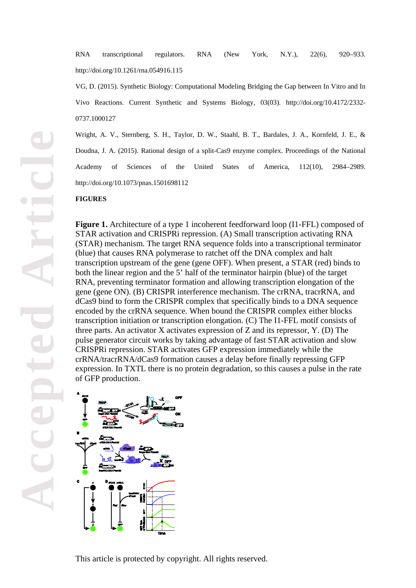RNA transcriptional regulators. RNA (New York, N.Y.), 22(6), 920–933. http://doi.org/10.1261/rna.054916.115

VG, D. (2015). Synthetic Biology: Computational Modeling Bridging the Gap between In Vitro and In Vivo Reactions. Current Synthetic and Systems Biology, 03(03). http://doi.org/10.4172/2332- 0737.1000127

Wright, A. V., Sternberg, S. H., Taylor, D. W., Staahl, B. T., Bardales, J. A., Kornfeld, J. E., & Doudna, J. A. (2015). Rational design of a split-Cas9 enzyme complex. Proceedings of the National Academy of Sciences of the United States of America, 112(10), 2984–2989. http://doi.org/10.1073/pnas.1501698112

#### **FIGURES**

**Figure 1.** Architecture of a type 1 incoherent feedforward loop (I1-FFL) composed of STAR activation and CRISPRi repression. (A) Small transcription activating RNA (STAR) mechanism. The target RNA sequence folds into a transcriptional terminator (blue) that causes RNA polymerase to ratchet off the DNA complex and halt transcription upstream of the gene (gene OFF). When present, a STAR (red) binds to both the linear region and the 5' half of the terminator hairpin (blue) of the target RNA, preventing terminator formation and allowing transcription elongation of the gene (gene ON). (B) CRISPR interference mechanism. The crRNA, tracrRNA, and dCas9 bind to form the CRISPR complex that specifically binds to a DNA sequence encoded by the crRNA sequence. When bound the CRISPR complex either blocks transcription initiation or transcription elongation. (C) The I1-FFL motif consists of three parts. An activator X activates expression of Z and its repressor, Y. (D) The pulse generator circuit works by taking advantage of fast STAR activation and slow CRISPRi repression. STAR activates GFP expression immediately while the crRNA/tracrRNA/dCas9 formation causes a delay before finally repressing GFP expression. In TXTL there is no protein degradation, so this causes a pulse in the rate of GFP production.

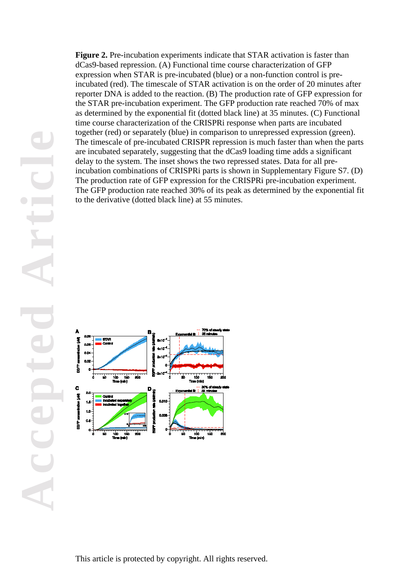**Figure 2.** Pre-incubation experiments indicate that STAR activation is faster than dCas9-based repression. (A) Functional time course characterization of GFP expression when STAR is pre-incubated (blue) or a non-function control is preincubated (red). The timescale of STAR activation is on the order of 20 minutes after reporter DNA is added to the reaction. (B) The production rate of GFP expression for the STAR pre-incubation experiment. The GFP production rate reached 70% of max as determined by the exponential fit (dotted black line) at 35 minutes. (C) Functional time course characterization of the CRISPRi response when parts are incubated together (red) or separately (blue) in comparison to unrepressed expression (green). The timescale of pre-incubated CRISPR repression is much faster than when the parts are incubated separately, suggesting that the dCas9 loading time adds a significant delay to the system. The inset shows the two repressed states. Data for all preincubation combinations of CRISPRi parts is shown in Supplementary Figure S7. (D) The production rate of GFP expression for the CRISPRi pre-incubation experiment. The GFP production rate reached 30% of its peak as determined by the exponential fit to the derivative (dotted black line) at 55 minutes.

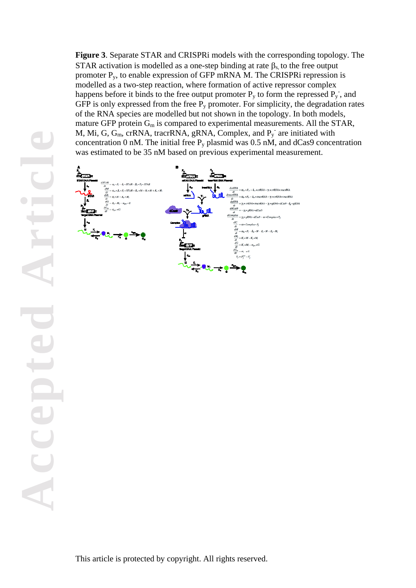**Figure 3**. Separate STAR and CRISPRi models with the corresponding topology. The STAR activation is modelled as a one-step binding at rate  $\beta_s$  to the free output promoter Py, to enable expression of GFP mRNA M. The CRISPRi repression is modelled as a two-step reaction, where formation of active repressor complex happens before it binds to the free output promoter  $P_y$  to form the repressed  $P_y$ , and GFP is only expressed from the free  $P_y$  promoter. For simplicity, the degradation rates of the RNA species are modelled but not shown in the topology. In both models, mature GFP protein  $G_m$  is compared to experimental measurements. All the STAR, M, Mi, G,  $G_m$ , crRNA, tracrRNA, gRNA, Complex, and  $P_y$  are initiated with concentration 0 nM. The initial free  $P_y$  plasmid was 0.5 nM, and dCas9 concentration was estimated to be 35 nM based on previous experimental measurement.

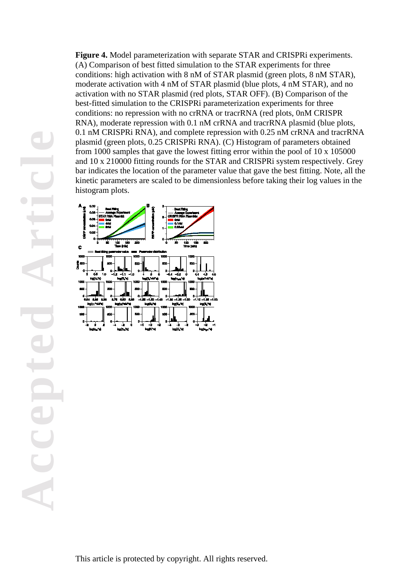**Figure 4.** Model parameterization with separate STAR and CRISPRi experiments. (A) Comparison of best fitted simulation to the STAR experiments for three conditions: high activation with 8 nM of STAR plasmid (green plots, 8 nM STAR), moderate activation with 4 nM of STAR plasmid (blue plots, 4 nM STAR), and no activation with no STAR plasmid (red plots, STAR OFF). (B) Comparison of the best-fitted simulation to the CRISPRi parameterization experiments for three conditions: no repression with no crRNA or tracrRNA (red plots, 0nM CRISPR RNA), moderate repression with 0.1 nM crRNA and tracrRNA plasmid (blue plots, 0.1 nM CRISPRi RNA), and complete repression with 0.25 nM crRNA and tracrRNA plasmid (green plots, 0.25 CRISPRi RNA). (C) Histogram of parameters obtained from 1000 samples that gave the lowest fitting error within the pool of 10 x 105000 and 10 x 210000 fitting rounds for the STAR and CRISPRi system respectively. Grey bar indicates the location of the parameter value that gave the best fitting. Note, all the kinetic parameters are scaled to be dimensionless before taking their log values in the histogram plots.

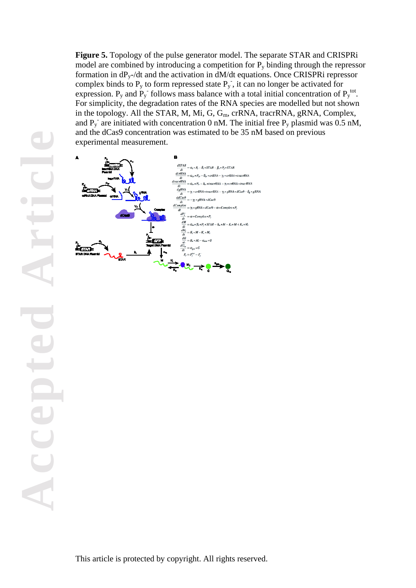**Figure 5.** Topology of the pulse generator model. The separate STAR and CRISPRi model are combined by introducing a competition for  $P_y$  binding through the repressor formation in  $dP_y$ -/dt and the activation in  $dM/dt$  equations. Once CRISPRi repressor complex binds to  $P_y$  to form repressed state  $P_y$ , it can no longer be activated for expression.  $P_y$  and  $P_y$  follows mass balance with a total initial concentration of  $P_y^{\text{tot}}$ . For simplicity, the degradation rates of the RNA species are modelled but not shown in the topology. All the STAR, M, Mi, G, G<sub>m</sub>, crRNA, tracrRNA, gRNA, Complex, and  $P_y$  are initiated with concentration 0 nM. The initial free  $P_y$  plasmid was 0.5 nM, and the dCas9 concentration was estimated to be 35 nM based on previous experimental measurement.